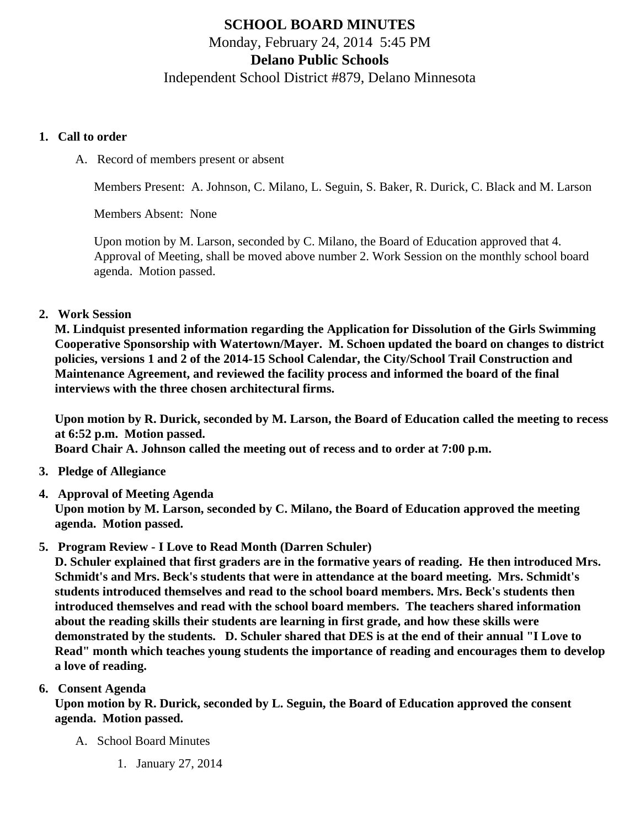# SCHOOL BOARD MINUTES Monday, February 24, 2014 5:45 PM Delano Public Schools Independent School District #879, Delano Minnesota

#### 1. Call to order

A. Record of members present or absent

Members Present: A. Johnson, C. Milano, L. Seguin, S. Baker, R. Durick, C. Black and M. Larson

Members Absent: None

Upon motion by M. Larson, seconded by C. Milano, the Board of Education approved that 4. Approval of Meeting, shall be moved above number 2. Work Session on the monthly school board agenda. Motion passed.

### 2. Work Session

M. Lindquist presented information regarding the Application for Dissolution of the Girls Swimming Cooperative Sponsorship with Watertown/Mayer. M. Schoen updated the board on changes to district policies, versions 1 and 2 of the 2014-15 School Calendar, the City/School Trail Construction and Maintenance Agreement, and reviewed the facility process and informed the board of the final interviews with the three chosen architectural firms.

Upon motion by R. Durick, seconded by M. Larson, the Board of Education called the meeting to recess at 6:52 p.m. Motion passed.

Board Chair A. Johnson called the meeting out of recess and to order at 7:00 p.m.

- 3. Pledge of Allegiance
- 4. Approval of Meeting Agenda

Upon motion by M. Larson, seconded by C. Milano, the Board of Education approved the meeting agenda. Motion passed.

5. Program Review - I Love to Read Month (Darren Schuler)

D. Schuler explained that first graders are in the formative years of reading. He then introduced Mrs. Schmidt's and Mrs. Beck's students that were in attendance at the board meeting. Mrs. Schmidt's students introduced themselves and read to the school board members. Mrs. Beck's students then introduced themselves and read with the school board members. The teachers shared information about the reading skills their students are learning in first grade, and how these skills were demonstrated by the students. D. Schuler shared that DES is at the end of their annual "I Love to Read" month which teaches young students the importance of reading and encourages them to develop a love of reading.

### 6. Consent Agenda

Upon motion by R. Durick, seconded by L. Seguin, the Board of Education approved the consent agenda. Motion passed.

- A. School Board Minutes
	- 1. [January 27, 201](/docs/district/Business_Office/SchoolBoardMinutes1.27.14.pdf )4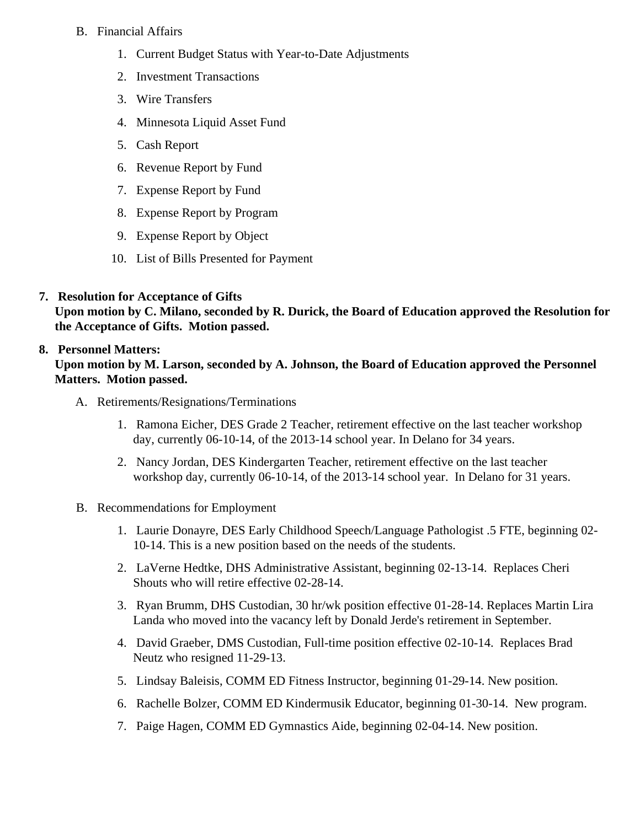#### B. Financial Affairs

- 1. [Current Budget Statu](/docs/district/Business_Office/Budget_Report_Feb_14.pdf)s ith Year-to-Date Adjustments
- 2. [Investment Transactio](/docs/district/Business_Office/Investment_schedule_13-14.pdf   	)ns
- 3. [Wire Transfer](/docs/district/Business_Office/Wire_Transfer.pdf   	)s
- 4. [Minnesota Liquid Asset Fun](/docs/district/Business_Office/Liq_AFY14.pdf  )d
- 5. [Cash Repo](/docs/district/Business_Office/Cash_Report.pdf)rt
- 6. [Revenue Report by Fu](/docs/district/Business_Office/SCHOOL_BOARD_REPORTS_-_REVENUE_BY_FUND_TOTAL__(Date__6_2014).pdf)nd
- 7. [Expense Report by Fu](/docs/district/Business_Office/SCHOOL_BOARD_REPORTS_-_EXP_BY_FUND_TOTAL__(Date__6_2014).pdf)nd
- 8. [Expense Report by Progra](/docs/district/Business_Office/SCHOOL_BOARD_REPORTS_-_EXPENDITURES_BY_PROGRAM__(Date__6_2014).pdf)m
- 9. [Expense Report by Obje](/docs/district/Business_Office/SCHOOL_BOARD_REPORTS_-_EXPENDITURES_BY_OBJECT__(Date__6_2014).pdf)ct
- 10. [List of Bills Presented for Payme](/docs/district/Business_Office/Detail_of_Monthly_Bills_Paid.pdf)nt
- 7. [Resolution for Acceptance of Gifts](/docs/district/Business_Office/Resolution_for_Acceptance_of_Gifts_2.24.14.pdf)

Upon motion by C. Milano, seconded by R. Durick, the Board of Education approved the Resolution for the Acceptance of Gifts. Motion passed.

## 8. Personnel Matters:

Upon motion by M. Larson, seconded by A. Johnson, the Board of Education approved the Personnel Matters. Motion passed.

- A. Retirements/Resignations/Terminations
	- 1. Ramona Eicher, DES Grade 2 Teacher, retirement effective on the last teacher workshop day, currently 06-10-14, of the 2013-14 school year. In Delano for 34 years.
	- 2. Nancy Jordan, DES Kindergarten Teacher, retirement effective on the last teacher workshop day, currently 06-10-14, of the 2013-14 school year. In Delano for 31 years.
- B. Recommendations for Employment
	- 1. Laurie Donayre, DES Early Childhood Speech/Language Pathologist .5 FTE, beginning 02- 10-14. This is a new position based on the needs of the students.
	- 2. LaVerne Hedtke, DHS Administrative Assistant, beginning 02-13-14. Replaces Cheri Shouts who will retire effective 02-28-14.
	- 3. Ryan Brumm, DHS Custodian, 30 hr/wk position effective 01-28-14. Replaces Martin Lira Landa who moved into the vacancy left by Donald Jerde's retirement in September.
	- 4. David Graeber, DMS Custodian, Full-time position effective 02-10-14. Replaces Brad Neutz who resigned 11-29-13.
	- 5. Lindsay Baleisis, COMM ED Fitness Instructor, beginning 01-29-14. New position.
	- 6. Rachelle Bolzer, COMM ED Kindermusik Educator, beginning 01-30-14. New program.
	- 7. Paige Hagen, COMM ED Gymnastics Aide, beginning 02-04-14. New position.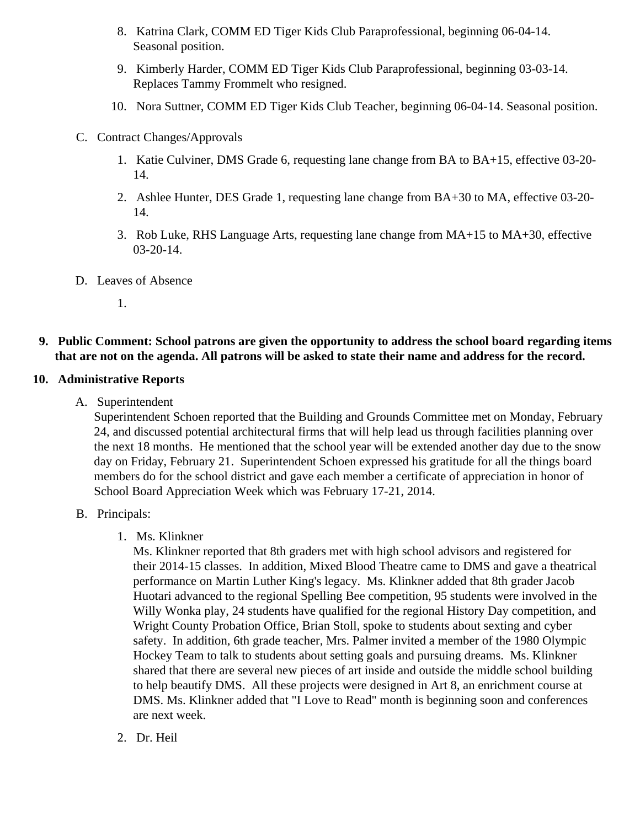- 8. Katrina Clark, COMM ED Tiger Kids Club Paraprofessional, beginning 06-04-14. Seasonal position.
- 9. Kimberly Harder, COMM ED Tiger Kids Club Paraprofessional, beginning 03-03-14. Replaces Tammy Frommelt who resigned.
- 10. Nora Suttner, COMM ED Tiger Kids Club Teacher, beginning 06-04-14. Seasonal position.
- C. Contract Changes/Approvals
	- 1. Katie Culviner, DMS Grade 6, requesting lane change from BA to BA+15, effective 03-20- 14.
	- 2. Ashlee Hunter, DES Grade 1, requesting lane change from BA+30 to MA, effective 03-20- 14.
	- 3. Rob Luke, RHS Language Arts, requesting lane change from MA+15 to MA+30, effective 03-20-14.
- D. Leaves of Absence

1.

**9. Public Comment: School patrons are given the opportunity to address the school board regarding items that are not on the agenda. All patrons will be asked to state their name and address for the record.**

#### **10. Administrative Reports**

A. Superintendent

Superintendent Schoen reported that the Building and Grounds Committee met on Monday, February 24, and discussed potential architectural firms that will help lead us through facilities planning over the next 18 months. He mentioned that the school year will be extended another day due to the snow day on Friday, February 21. Superintendent Schoen expressed his gratitude for all the things board members do for the school district and gave each member a certificate of appreciation in honor of School Board Appreciation Week which was February 17-21, 2014.

- B. Principals:
	- 1. Ms. Klinkner

Ms. Klinkner reported that 8th graders met with high school advisors and registered for their 2014-15 classes. In addition, Mixed Blood Theatre came to DMS and gave a theatrical performance on Martin Luther King's legacy. Ms. Klinkner added that 8th grader Jacob Huotari advanced to the regional Spelling Bee competition, 95 students were involved in the Willy Wonka play, 24 students have qualified for the regional History Day competition, and Wright County Probation Office, Brian Stoll, spoke to students about sexting and cyber safety. In addition, 6th grade teacher, Mrs. Palmer invited a member of the 1980 Olympic Hockey Team to talk to students about setting goals and pursuing dreams. Ms. Klinkner shared that there are several new pieces of art inside and outside the middle school building to help beautify DMS. All these projects were designed in Art 8, an enrichment course at DMS. Ms. Klinkner added that "I Love to Read" month is beginning soon and conferences are next week.

2. Dr. Heil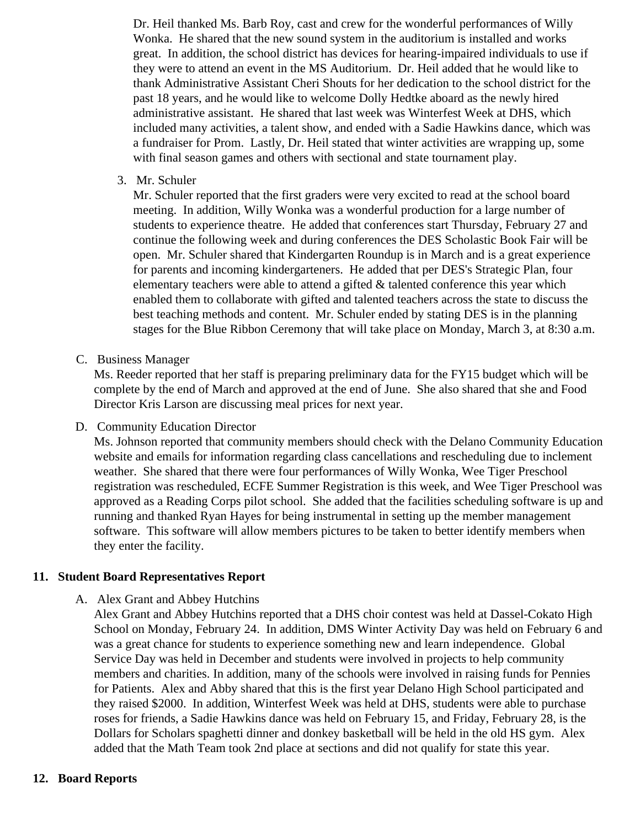Dr. Heil thanked Ms. Barb Roy, cast and crew for the wonderful performances of Willy Wonka. He shared that the new sound system in the auditorium is installed and works great. In addition, the school district has devices for hearing-impaired individuals to use if they were to attend an event in the MS Auditorium. Dr. Heil added that he would like to thank Administrative Assistant Cheri Shouts for her dedication to the school district for the past 18 years, and he would like to welcome Dolly Hedtke aboard as the newly hired administrative assistant. He shared that last week was Winterfest Week at DHS, which included many activities, a talent show, and ended with a Sadie Hawkins dance, which was a fundraiser for Prom. Lastly, Dr. Heil stated that winter activities are wrapping up, some with final season games and others with sectional and state tournament play.

3. Mr. Schuler

Mr. Schuler reported that the first graders were very excited to read at the school board meeting. In addition, Willy Wonka was a wonderful production for a large number of students to experience theatre. He added that conferences start Thursday, February 27 and continue the following week and during conferences the DES Scholastic Book Fair will be open. Mr. Schuler shared that Kindergarten Roundup is in March and is a great experience for parents and incoming kindergarteners. He added that per DES's Strategic Plan, four elementary teachers were able to attend a gifted & talented conference this year which enabled them to collaborate with gifted and talented teachers across the state to discuss the best teaching methods and content. Mr. Schuler ended by stating DES is in the planning stages for the Blue Ribbon Ceremony that will take place on Monday, March 3, at 8:30 a.m.

C. Business Manager

Ms. Reeder reported that her staff is preparing preliminary data for the FY15 budget which will be complete by the end of March and approved at the end of June. She also shared that she and Food Director Kris Larson are discussing meal prices for next year.

#### D. Community Education Director

Ms. Johnson reported that community members should check with the Delano Community Education website and emails for information regarding class cancellations and rescheduling due to inclement weather. She shared that there were four performances of Willy Wonka, Wee Tiger Preschool registration was rescheduled, ECFE Summer Registration is this week, and Wee Tiger Preschool was approved as a Reading Corps pilot school. She added that the facilities scheduling software is up and running and thanked Ryan Hayes for being instrumental in setting up the member management software. This software will allow members pictures to be taken to better identify members when they enter the facility.

#### **11. Student Board Representatives Report**

#### A. Alex Grant and Abbey Hutchins

Alex Grant and Abbey Hutchins reported that a DHS choir contest was held at Dassel-Cokato High School on Monday, February 24. In addition, DMS Winter Activity Day was held on February 6 and was a great chance for students to experience something new and learn independence. Global Service Day was held in December and students were involved in projects to help community members and charities. In addition, many of the schools were involved in raising funds for Pennies for Patients. Alex and Abby shared that this is the first year Delano High School participated and they raised \$2000. In addition, Winterfest Week was held at DHS, students were able to purchase roses for friends, a Sadie Hawkins dance was held on February 15, and Friday, February 28, is the Dollars for Scholars spaghetti dinner and donkey basketball will be held in the old HS gym. Alex added that the Math Team took 2nd place at sections and did not qualify for state this year.

#### **12. Board Reports**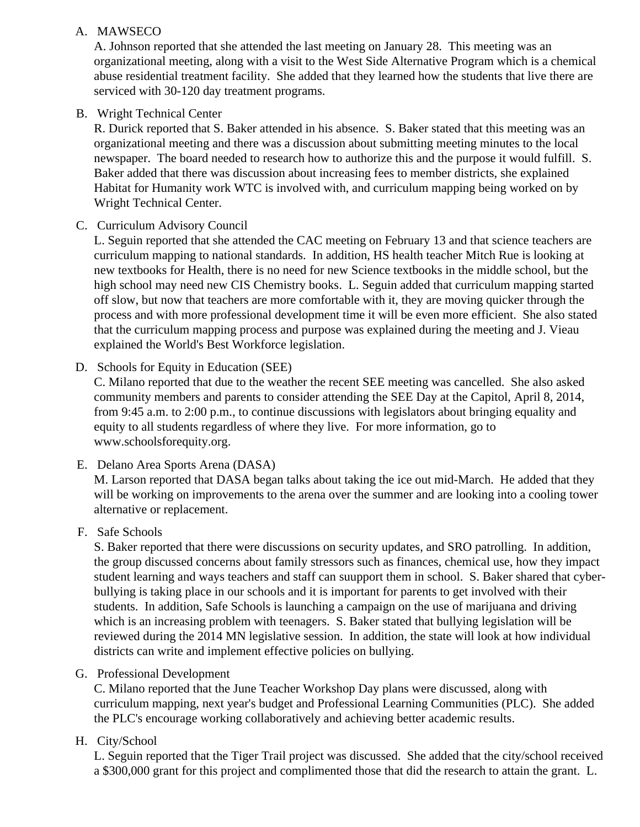#### A. MAWSECO

A. Johnson reported that she attended the last meeting on January 28. This meeting was an organizational meeting, along with a visit to the West Side Alternative Program which is a chemical abuse residential treatment facility. She added that they learned how the students that live there are serviced with 30-120 day treatment programs.

#### B. Wright Technical Center

R. Durick reported that S. Baker attended in his absence. S. Baker stated that this meeting was an organizational meeting and there was a discussion about submitting meeting minutes to the local newspaper. The board needed to research how to authorize this and the purpose it would fulfill. S. Baker added that there was discussion about increasing fees to member districts, she explained Habitat for Humanity work WTC is involved with, and curriculum mapping being worked on by Wright Technical Center.

#### C. Curriculum Advisory Council

L. Seguin reported that she attended the CAC meeting on February 13 and that science teachers are curriculum mapping to national standards. In addition, HS health teacher Mitch Rue is looking at new textbooks for Health, there is no need for new Science textbooks in the middle school, but the high school may need new CIS Chemistry books. L. Seguin added that curriculum mapping started off slow, but now that teachers are more comfortable with it, they are moving quicker through the process and with more professional development time it will be even more efficient. She also stated that the curriculum mapping process and purpose was explained during the meeting and J. Vieau explained the World's Best Workforce legislation.

#### D. Schools for Equity in Education (SEE)

C. Milano reported that due to the weather the recent SEE meeting was cancelled. She also asked community members and parents to consider attending the SEE Day at the Capitol, April 8, 2014, from 9:45 a.m. to 2:00 p.m., to continue discussions with legislators about bringing equality and equity to all students regardless of where they live. For more information, go to www.schoolsforequity.org.

#### E. Delano Area Sports Arena (DASA)

M. Larson reported that DASA began talks about taking the ice out mid-March. He added that they will be working on improvements to the arena over the summer and are looking into a cooling tower alternative or replacement.

### F. Safe Schools

S. Baker reported that there were discussions on security updates, and SRO patrolling. In addition, the group discussed concerns about family stressors such as finances, chemical use, how they impact student learning and ways teachers and staff can suupport them in school. S. Baker shared that cyberbullying is taking place in our schools and it is important for parents to get involved with their students. In addition, Safe Schools is launching a campaign on the use of marijuana and driving which is an increasing problem with teenagers. S. Baker stated that bullying legislation will be reviewed during the 2014 MN legislative session. In addition, the state will look at how individual districts can write and implement effective policies on bullying.

#### G. Professional Development

C. Milano reported that the June Teacher Workshop Day plans were discussed, along with curriculum mapping, next year's budget and Professional Learning Communities (PLC). She added the PLC's encourage working collaboratively and achieving better academic results.

### H. City/School

L. Seguin reported that the Tiger Trail project was discussed. She added that the city/school received a \$300,000 grant for this project and complimented those that did the research to attain the grant. L.